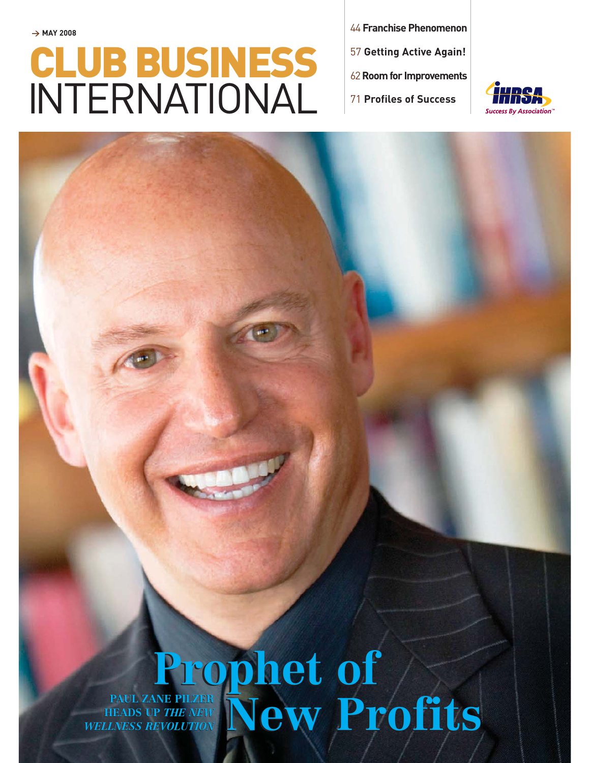## **> MAY 2008** CLUB BUSINESS INTERNATIONAL

<sup>44</sup> **Franchise Phenomenon** <sup>57</sup> **Getting Active Again!** <sup>62</sup>**Room for Improvements** 

<sup>71</sup> **Profiles of Success**



## **Prophet of**  PAUL ZANE PILZER<br>IEADS UP *THE NEW* New Profits **Prophet of**  PAUL ZANE PILZER<br>IEADS UP *THE NEW* New Profits

**HEADS UP** *THE NEW WELLNESS REVOLUTION* **HEADS UP** *THE NEWWELLNESS REVOLUTION*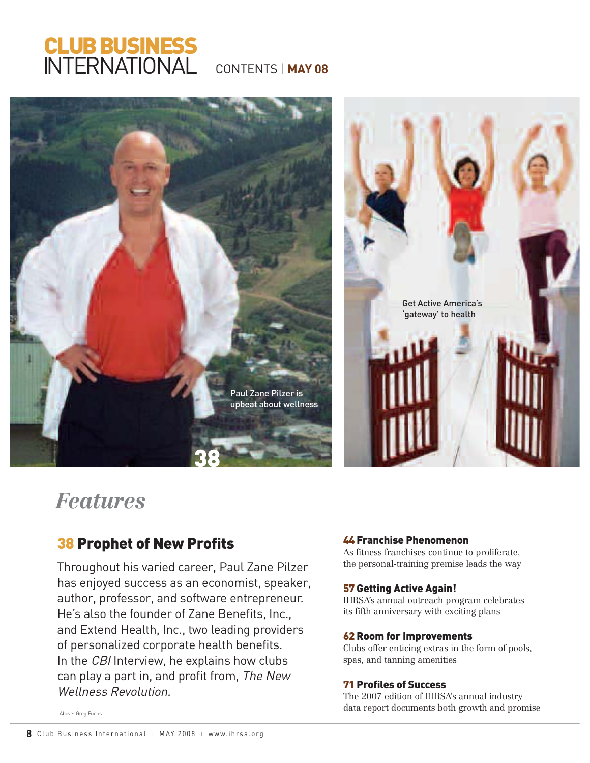## CLUB BUSINESS INTERNATIONAL

CONTENTS | **MAY 08**



## *Features*

### **38 Prophet of New Profits**

Throughout his varied career, Paul Zane Pilzer has enjoyed success as an economist, speaker, author, professor, and software entrepreneur. He's also the founder of Zane Benefits, Inc., and Extend Health, Inc., two leading providers of personalized corporate health benefits. In the CBI Interview, he explains how clubs can play a part in, and profit from, The New Wellness Revolution.

#### 44 Franchise Phenomenon

As fitness franchises continue to proliferate, the personal-training premise leads the way

#### 57 Getting Active Again!

IHRSA's annual outreach program celebrates its fifth anniversary with exciting plans

#### 62 Room for Improvements

Clubs offer enticing extras in the form of pools, spas, and tanning amenities

#### 71 Profiles of Success

The 2007 edition of IHRSA's annual industry data report documents both growth and promise

Above: Grea Fuchs Above: Greg Fuchs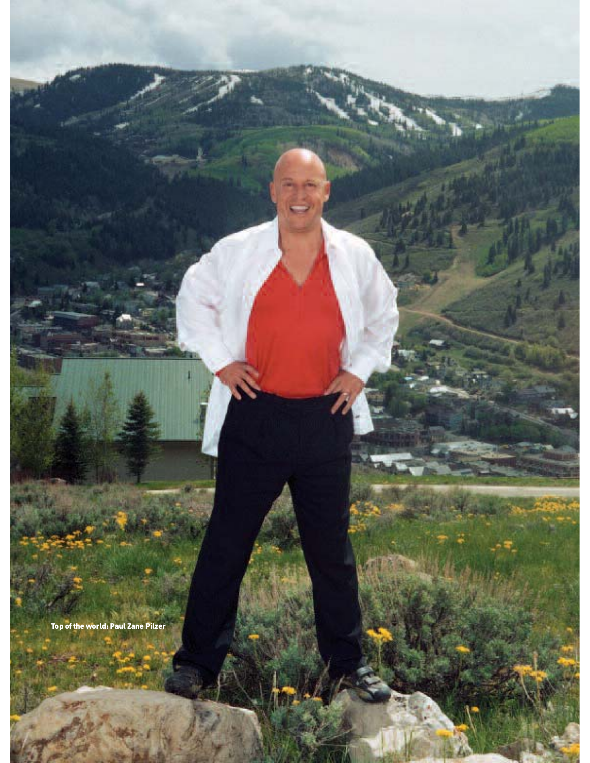Top of the world: Paul Zane Pilzer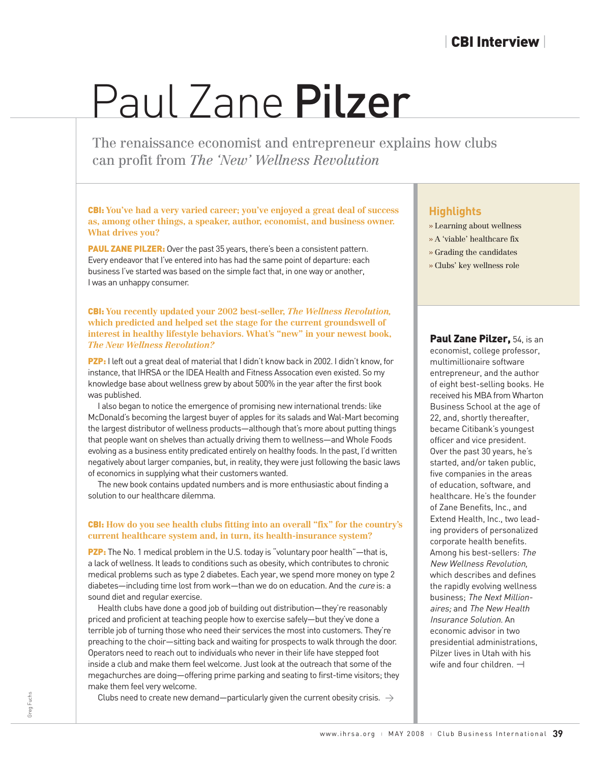# Paul Zane Pilzer

The renaissance economist and entrepreneur explant<br>can profit from *The 'New' Wellness Revolution* The renaissance economist and entrepreneur explains how clubs can profit from *The 'New' Wellness Revolution*

CBI: **You've had a very varied career; you've enjoyed a great deal of success as, among other things, a speaker, author, economist, and business owner. What drives you?**

**PAUL ZANE PILZER:** Over the past 35 years, there's been a consistent pattern. Every endeavor that I've entered into has had the same point of departure: each business I've started was based on the simple fact that, in one way or another, I was an unhappy consumer.

CBI: **You recently updated your 2002 best-seller,** *The Wellness Revolution,* **which predicted and helped set the stage for the current groundswell of interest in healthy lifestyle behaviors. What's "new" in your newest book,** *The New Wellness Revolution?* 

PZP: I left out a great deal of material that I didn't know back in 2002. I didn't know, for instance, that IHRSA or the IDEA Health and Fitness Assocation even existed. So my knowledge base about wellness grew by about 500% in the year after the first book was published.

I also began to notice the emergence of promising new international trends: like McDonald's becoming the largest buyer of apples for its salads and Wal-Mart becoming the largest distributor of wellness products—although that's more about putting things that people want on shelves than actually driving them to wellness—and Whole Foods evolving as a business entity predicated entirely on healthy foods. In the past, I'd written negatively about larger companies, but, in reality, they were just following the basic laws of economics in supplying what their customers wanted.

The new book contains updated numbers and is more enthusiastic about finding a solution to our healthcare dilemma.

#### CBI: **How do you see health clubs fitting into an overall "fix" for the country's current healthcare system and, in turn, its health-insurance system?**

PZP: The No. 1 medical problem in the U.S. today is "voluntary poor health"—that is, a lack of wellness. It leads to conditions such as obesity, which contributes to chronic medical problems such as type 2 diabetes. Each year, we spend more money on type 2 diabetes—including time lost from work—than we do on education. And the cure is: a sound diet and regular exercise.

Health clubs have done a good job of building out distribution—they're reasonably priced and proficient at teaching people how to exercise safely—but they've done a terrible job of turning those who need their services the most into customers. They're preaching to the choir—sitting back and waiting for prospects to walk through the door. Operators need to reach out to individuals who never in their life have stepped foot inside a club and make them feel welcome. Just look at the outreach that some of the megachurches are doing—offering prime parking and seating to first-time visitors; they make them feel very welcome.

Clubs need to create new demand—particularly given the current obesity crisis.  $\,\rightarrow$ 

- **Highlights** » Learning about wellness
- » A 'viable' healthcare fix
- » Grading the candidates
- » Clubs' key wellness role

Paul Zane Pilzer, 54, is an economist, college professor, multimillionaire software entrepreneur, and the author of eight best-selling books. He received his MBA from Wharton Business School at the age of 22, and, shortly thereafter, became Citibank's youngest officer and vice president. Over the past 30 years, he's started, and/or taken public, five companies in the areas of education, software, and healthcare. He's the founder of Zane Benefits, Inc., and Extend Health, Inc., two leading providers of personalized corporate health benefits. Among his best-sellers: The New Wellness Revolution, which describes and defines the rapidly evolving wellness business; The Next Millionaires; and The New Health Insurance Solution. An economic advisor in two presidential administrations, Pilzer lives in Utah with his wife and four children. **—|**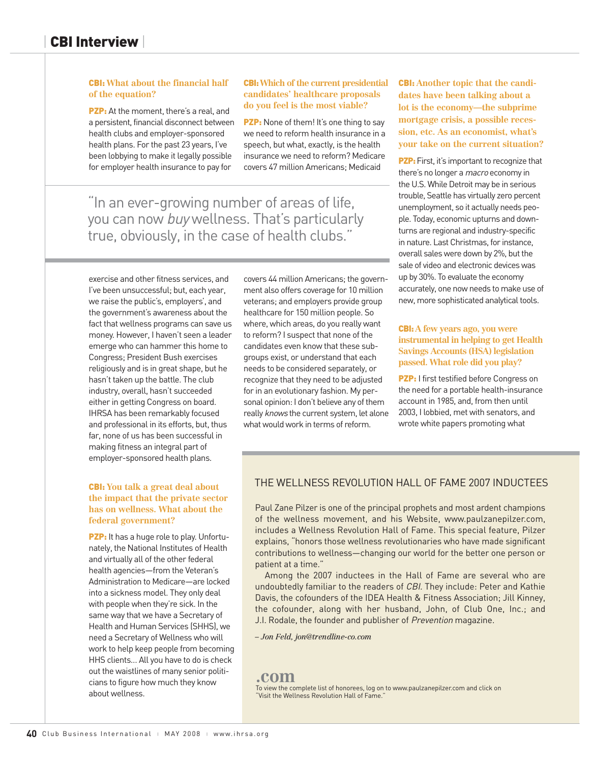#### CBI: **What about the financial half of the equation?**

PZP: At the moment, there's a real, and a persistent, financial disconnect between health clubs and employer-sponsored health plans. For the past 23 years, I've been lobbying to make it legally possible for employer health insurance to pay for

#### CBI: **Which of the current presidential candidates' healthcare proposals do you feel is the most viable?**

PZP: None of them! It's one thing to say we need to reform health insurance in a speech, but what, exactly, is the health insurance we need to reform? Medicare covers 47 million Americans; Medicaid

"In an ever-growing number of areas of life, you can now buy wellness. That's particularly true, obviously, in the case of health clubs."

exercise and other fitness services, and I've been unsuccessful; but, each year, we raise the public's, employers', and the government's awareness about the fact that wellness programs can save us money. However, I haven't seen a leader emerge who can hammer this home to Congress; President Bush exercises religiously and is in great shape, but he hasn't taken up the battle. The club industry, overall, hasn't succeeded either in getting Congress on board. IHRSA has been remarkably focused and professional in its efforts, but, thus far, none of us has been successful in making fitness an integral part of employer-sponsored health plans.

#### CBI: **You talk a great deal about the impact that the private sector has on wellness. What about the federal government?**

PZP: It has a huge role to play. Unfortunately, the National Institutes of Health and virtually all of the other federal health agencies—from the Veteran's Administration to Medicare—are locked into a sickness model. They only deal with people when they're sick. In the same way that we have a Secretary of Health and Human Services (SHHS), we need a Secretary of Wellness who will work to help keep people from becoming HHS clients… All you have to do is check out the waistlines of many senior politicians to figure how much they know about wellness.

covers 44 million Americans; the government also offers coverage for 10 million veterans; and employers provide group healthcare for 150 million people. So where, which areas, do you really want to reform? I suspect that none of the candidates even know that these subgroups exist, or understand that each needs to be considered separately, or recognize that they need to be adjusted for in an evolutionary fashion. My personal opinion: I don't believe any of them really knows the current system, let alone what would work in terms of reform.

CBI: **Another topic that the candidates have been talking about a lot is the economy—the subprime mortgage crisis, a possible recession, etc. As an economist, what's your take on the current situation?**

**PZP:** First, it's important to recognize that there's no longer a macro economy in the U.S. While Detroit may be in serious trouble, Seattle has virtually zero percent unemployment, so it actually needs people. Today, economic upturns and downturns are regional and industry-specific in nature. Last Christmas, for instance, overall sales were down by 2%, but the sale of video and electronic devices was up by 30%. To evaluate the economy accurately, one now needs to make use of new, more sophisticated analytical tools.

#### CBI: **A few years ago, you were instrumental in helping to get Health Savings Accounts (HSA) legislation passed. What role did you play?**

**PZP:** I first testified before Congress on the need for a portable health-insurance account in 1985, and, from then until 2003, I lobbied, met with senators, and wrote white papers promoting what

### THE WELLNESS REVOLUTION HALL OF FAME 2007 INDUCTEES

Paul Zane Pilzer is one of the principal prophets and most ardent champions of the wellness movement, and his Website, www.paulzanepilzer.com, includes a Wellness Revolution Hall of Fame. This special feature, Pilzer explains, "honors those wellness revolutionaries who have made significant contributions to wellness—changing our world for the better one person or patient at a time."

Among the 2007 inductees in the Hall of Fame are several who are undoubtedly familiar to the readers of CBI. They include: Peter and Kathie Davis, the cofounders of the IDEA Health & Fitness Association; Jill Kinney, the cofounder, along with her husband, John, of Club One, Inc.; and J.I. Rodale, the founder and publisher of Prevention magazine.

#### *– Jon Feld, jon@trendline-co.com*

### **.com**

To view the complete list of honorees, log on to www.paulzanepilzer.com and click on "Visit the Wellness Revolution Hall of Fame."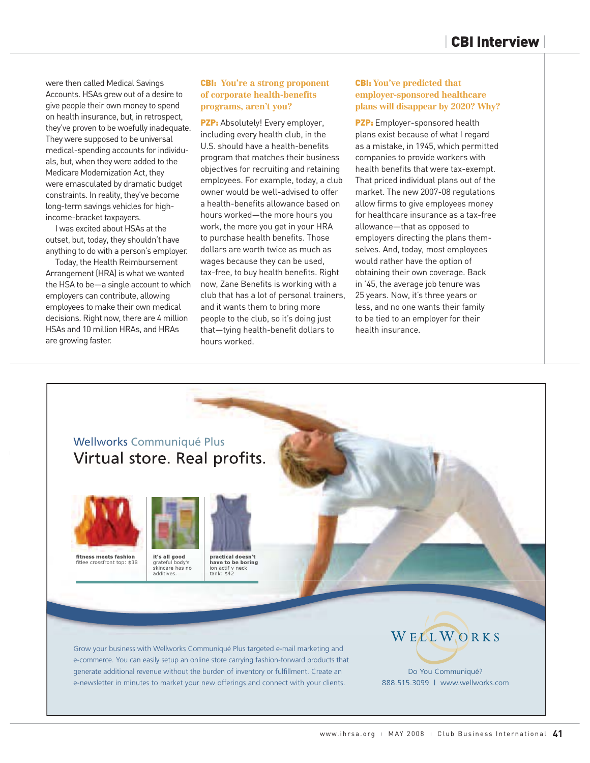were then called Medical Savings Accounts. HSAs grew out of a desire to give people their own money to spend on health insurance, but, in retrospect, they've proven to be woefully inadequate. They were supposed to be universal medical-spending accounts for individuals, but, when they were added to the Medicare Modernization Act, they were emasculated by dramatic budget constraints. In reality, they've become long-term savings vehicles for highincome-bracket taxpayers.

I was excited about HSAs at the outset, but, today, they shouldn't have anything to do with a person's employer.

Today, the Health Reimbursement Arrangement (HRA) is what we wanted the HSA to be—a single account to which employers can contribute, allowing employees to make their own medical decisions. Right now, there are 4 million HSAs and 10 million HRAs, and HRAs are growing faster.

#### CBI: **You're a strong proponent of corporate health-benefits programs, aren't you?**

PZP: Absolutely! Every employer, including every health club, in the U.S. should have a health-benefits program that matches their business objectives for recruiting and retaining employees. For example, today, a club owner would be well-advised to offer a health-benefits allowance based on hours worked—the more hours you work, the more you get in your HRA to purchase health benefits. Those dollars are worth twice as much as wages because they can be used, tax-free, to buy health benefits. Right now, Zane Benefits is working with a club that has a lot of personal trainers, and it wants them to bring more people to the club, so it's doing just that—tying health-benefit dollars to hours worked.

#### CBI: **You've predicted that employer-sponsored healthcare plans will disappear by 2020? Why?**

PZP: Employer-sponsored health plans exist because of what I regard as a mistake, in 1945, which permitted companies to provide workers with health benefits that were tax-exempt. That priced individual plans out of the market. The new 2007-08 regulations allow firms to give employees money for healthcare insurance as a tax-free allowance—that as opposed to employers directing the plans themselves. And, today, most employees would rather have the option of obtaining their own coverage. Back in '45, the average job tenure was 25 years. Now, it's three years or less, and no one wants their family to be tied to an employer for their health insurance.